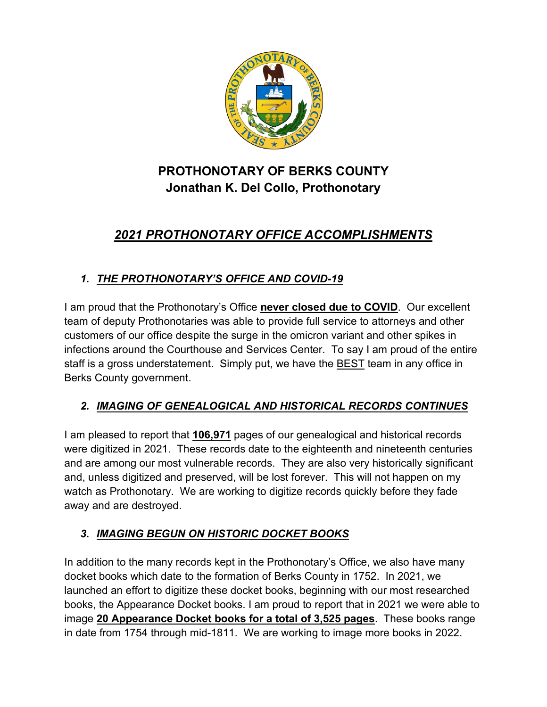

# **PROTHONOTARY OF BERKS COUNTY Jonathan K. Del Collo, Prothonotary**

# *2021 PROTHONOTARY OFFICE ACCOMPLISHMENTS*

## *1. THE PROTHONOTARY'S OFFICE AND COVID-19*

I am proud that the Prothonotary's Office **never closed due to COVID**. Our excellent team of deputy Prothonotaries was able to provide full service to attorneys and other customers of our office despite the surge in the omicron variant and other spikes in infections around the Courthouse and Services Center. To say I am proud of the entire staff is a gross understatement. Simply put, we have the BEST team in any office in Berks County government.

### *2. IMAGING OF GENEALOGICAL AND HISTORICAL RECORDS CONTINUES*

I am pleased to report that **106,971** pages of our genealogical and historical records were digitized in 2021. These records date to the eighteenth and nineteenth centuries and are among our most vulnerable records. They are also very historically significant and, unless digitized and preserved, will be lost forever. This will not happen on my watch as Prothonotary. We are working to digitize records quickly before they fade away and are destroyed.

### *3. IMAGING BEGUN ON HISTORIC DOCKET BOOKS*

In addition to the many records kept in the Prothonotary's Office, we also have many docket books which date to the formation of Berks County in 1752. In 2021, we launched an effort to digitize these docket books, beginning with our most researched books, the Appearance Docket books. I am proud to report that in 2021 we were able to image **20 Appearance Docket books for a total of 3,525 pages**. These books range in date from 1754 through mid-1811. We are working to image more books in 2022.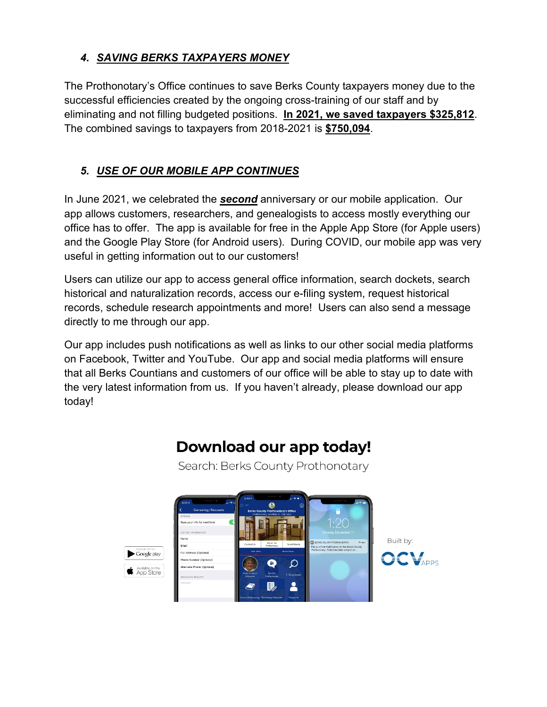#### *4. SAVING BERKS TAXPAYERS MONEY*

The Prothonotary's Office continues to save Berks County taxpayers money due to the successful efficiencies created by the ongoing cross-training of our staff and by eliminating and not filling budgeted positions. **In 2021, we saved taxpayers \$325,812**. The combined savings to taxpayers from 2018-2021 is **\$750,094**.

### *5. USE OF OUR MOBILE APP CONTINUES*

In June 2021, we celebrated the *second* anniversary or our mobile application. Our app allows customers, researchers, and genealogists to access mostly everything our office has to offer. The app is available for free in the Apple App Store (for Apple users) and the Google Play Store (for Android users). During COVID, our mobile app was very useful in getting information out to our customers!

Users can utilize our app to access general office information, search dockets, search historical and naturalization records, access our e-filing system, request historical records, schedule research appointments and more! Users can also send a message directly to me through our app.

Our app includes push notifications as well as links to our other social media platforms on Facebook, Twitter and YouTube. Our app and social media platforms will ensure that all Berks Countians and customers of our office will be able to stay up to date with the very latest information from us. If you haven't already, please download our app today!

Download our app today!